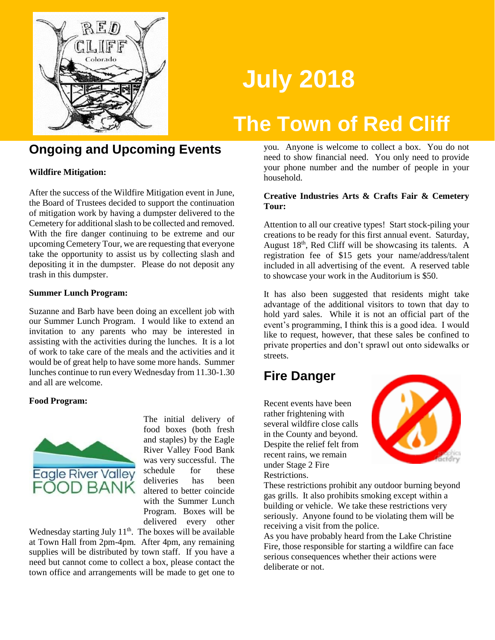

# **July 2018**

## **The Town of Red Cliff**

#### **Ongoing and Upcoming Events**

**Wildfire Mitigation:**

After the success of the Wildfire Mitigation event in June, the Board of Trustees decided to support the continuation of mitigation work by having a dumpster delivered to the Cemetery for additional slash to be collected and removed. With the fire danger continuing to be extreme and our upcoming Cemetery Tour, we are requesting that everyone take the opportunity to assist us by collecting slash and depositing it in the dumpster. Please do not deposit any trash in this dumpster.

#### **Summer Lunch Program:**

Suzanne and Barb have been doing an excellent job with our Summer Lunch Program. I would like to extend an invitation to any parents who may be interested in assisting with the activities during the lunches. It is a lot of work to take care of the meals and the activities and it would be of great help to have some more hands. Summer lunches continue to run every Wednesday from 11.30-1.30 and all are welcome.

#### **Food Program:**



The initial delivery of food boxes (both fresh and staples) by the Eagle River Valley Food Bank was very successful. The schedule for these deliveries has been altered to better coincide with the Summer Lunch Program. Boxes will be delivered every other

Wednesday starting July  $11<sup>th</sup>$ . The boxes will be available at Town Hall from 2pm-4pm. After 4pm, any remaining supplies will be distributed by town staff. If you have a need but cannot come to collect a box, please contact the town office and arrangements will be made to get one to

you. Anyone is welcome to collect a box. You do not need to show financial need. You only need to provide your phone number and the number of people in your household.

#### **Creative Industries Arts & Crafts Fair & Cemetery Tour:**

Attention to all our creative types! Start stock-piling your creations to be ready for this first annual event. Saturday, August  $18<sup>th</sup>$ , Red Cliff will be showcasing its talents. A registration fee of \$15 gets your name/address/talent included in all advertising of the event. A reserved table to showcase your work in the Auditorium is \$50.

It has also been suggested that residents might take advantage of the additional visitors to town that day to hold yard sales. While it is not an official part of the event's programming, I think this is a good idea. I would like to request, however, that these sales be confined to private properties and don't sprawl out onto sidewalks or streets.

## **Fire Danger**

Recent events have been rather frightening with several wildfire close calls in the County and beyond. Despite the relief felt from recent rains, we remain under Stage 2 Fire Restrictions.



These restrictions prohibit any outdoor burning beyond gas grills. It also prohibits smoking except within a building or vehicle. We take these restrictions very seriously. Anyone found to be violating them will be receiving a visit from the police.

As you have probably heard from the Lake Christine Fire, those responsible for starting a wildfire can face serious consequences whether their actions were deliberate or not.